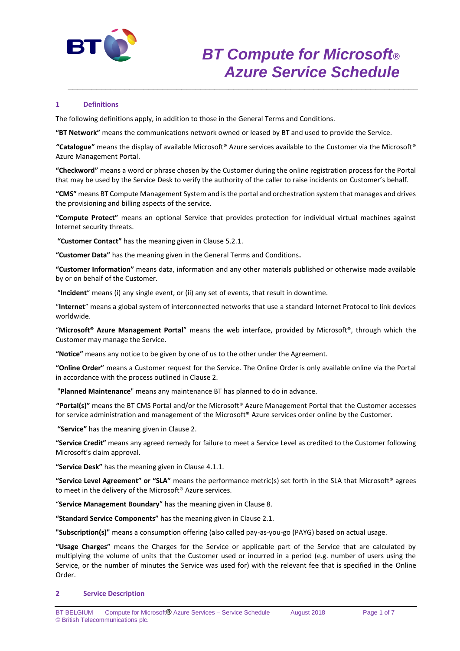

# **1 Definitions**

The following definitions apply, in addition to those in the General Terms and Conditions.

**"BT Network"** means the communications network owned or leased by BT and used to provide the Service.

**"Catalogue"** means the display of available Microsoft® Azure services available to the Customer via the Microsoft® Azure Management Portal.

\_\_\_\_\_\_\_\_\_\_\_\_\_\_\_\_\_\_\_\_\_\_\_\_\_\_\_\_\_\_\_\_\_\_\_\_\_\_\_\_\_\_\_\_\_\_\_\_\_\_\_\_\_\_\_\_\_\_\_\_\_\_\_\_\_\_\_\_\_\_\_\_\_\_

**"Checkword"** means a word or phrase chosen by the Customer during the online registration process for the Portal that may be used by the Service Desk to verify the authority of the caller to raise incidents on Customer's behalf.

**"CMS"** means BT Compute Management System and is the portal and orchestration system that manages and drives the provisioning and billing aspects of the service.

**"Compute Protect"** means an optional Service that provides protection for individual virtual machines against Internet security threats.

**"Customer Contact"** has the meaning given in Clause 5.2.1.

**"Customer Data"** has the meaning given in the General Terms and Conditions**.**

**"Customer Information"** means data, information and any other materials published or otherwise made available by or on behalf of the Customer.

"**Incident**" means (i) any single event, or (ii) any set of events, that result in downtime.

"**Internet**" means a global system of interconnected networks that use a standard Internet Protocol to link devices worldwide.

"**Microsoft® Azure Management Portal**" means the web interface, provided by Microsoft®, through which the Customer may manage the Service.

**"Notice"** means any notice to be given by one of us to the other under the Agreement.

**"Online Order"** means a Customer request for the Service. The Online Order is only available online via the Portal in accordance with the process outlined in Clause 2.

"**Planned Maintenance**" means any maintenance BT has planned to do in advance.

**"Portal(s)"** means the BT CMS Portal and/or the Microsoft® Azure Management Portal that the Customer accesses for service administration and management of the Microsoft® Azure services order online by the Customer.

**"Service"** has the meaning given in Clause 2.

**"Service Credit"** means any agreed remedy for failure to meet a Service Level as credited to the Customer following Microsoft's claim approval.

**"Service Desk"** has the meaning given in Clause 4.1.1.

**"Service Level Agreement" or "SLA"** means the performance metric(s) set forth in the SLA that Microsoft® agrees to meet in the delivery of the Microsoft® Azure services.

"**Service Management Boundary**" has the meaning given in Clause 8.

**"Standard Service Components"** has the meaning given in Clause 2.1.

**"Subscription(s)"** means a consumption offering (also called pay-as-you-go (PAYG) based on actual usage.

**"Usage Charges"** means the Charges for the Service or applicable part of the Service that are calculated by multiplying the volume of units that the Customer used or incurred in a period (e.g. number of users using the Service, or the number of minutes the Service was used for) with the relevant fee that is specified in the Online Order.

#### **2 Service Description**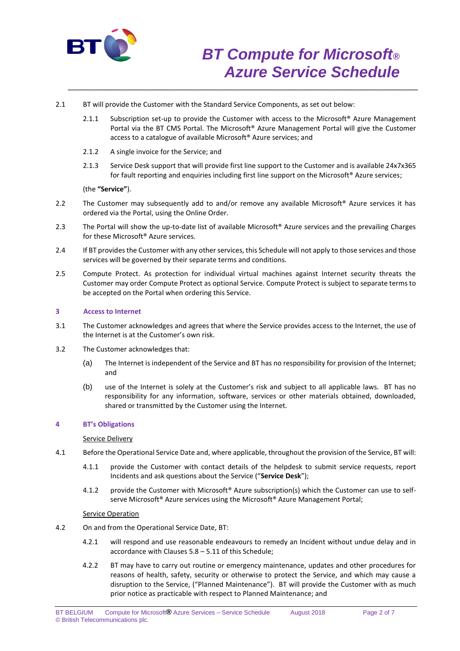

- 2.1 BT will provide the Customer with the Standard Service Components, as set out below:
	- 2.1.1 Subscription set-up to provide the Customer with access to the Microsoft<sup>®</sup> Azure Management Portal via the BT CMS Portal. The Microsoft® Azure Management Portal will give the Customer access to a catalogue of available Microsoft® Azure services; and

\_\_\_\_\_\_\_\_\_\_\_\_\_\_\_\_\_\_\_\_\_\_\_\_\_\_\_\_\_\_\_\_\_\_\_\_\_\_\_\_\_\_\_\_\_\_\_\_\_\_\_\_\_\_\_\_\_\_\_\_\_\_\_\_\_\_\_\_\_\_\_\_\_\_

- 2.1.2 A single invoice for the Service; and
- 2.1.3 Service Desk support that will provide first line support to the Customer and is available 24x7x365 for fault reporting and enquiries including first line support on the Microsoft® Azure services;

(the **"Service"**).

- 2.2 The Customer may subsequently add to and/or remove any available Microsoft<sup>®</sup> Azure services it has ordered via the Portal, using the Online Order.
- 2.3 The Portal will show the up-to-date list of available Microsoft® Azure services and the prevailing Charges for these Microsoft® Azure services.
- 2.4 If BT provides the Customer with any other services, this Schedule will not apply to those services and those services will be governed by their separate terms and conditions.
- 2.5 Compute Protect. As protection for individual virtual machines against Internet security threats the Customer may order Compute Protect as optional Service. Compute Protect is subject to separate terms to be accepted on the Portal when ordering this Service.

## **3 Access to Internet**

- 3.1 The Customer acknowledges and agrees that where the Service provides access to the Internet, the use of the Internet is at the Customer's own risk.
- 3.2 The Customer acknowledges that:
	- (a) The Internet is independent of the Service and BT has no responsibility for provision of the Internet; and
	- (b) use of the Internet is solely at the Customer's risk and subject to all applicable laws. BT has no responsibility for any information, software, services or other materials obtained, downloaded, shared or transmitted by the Customer using the Internet.

### **4 BT's Obligations**

#### Service Delivery

- 4.1 Before the Operational Service Date and, where applicable, throughout the provision of the Service, BT will:
	- 4.1.1 provide the Customer with contact details of the helpdesk to submit service requests, report Incidents and ask questions about the Service ("**Service Desk**");
	- 4.1.2 provide the Customer with Microsoft® Azure subscription(s) which the Customer can use to selfserve Microsoft<sup>®</sup> Azure services using the Microsoft<sup>®</sup> Azure Management Portal;

#### Service Operation

- 4.2 On and from the Operational Service Date, BT:
	- 4.2.1 will respond and use reasonable endeavours to remedy an Incident without undue delay and in accordance with Clauses 5.8 – 5.11 of this Schedule;
	- 4.2.2 BT may have to carry out routine or emergency maintenance, updates and other procedures for reasons of health, safety, security or otherwise to protect the Service, and which may cause a disruption to the Service, ("Planned Maintenance"). BT will provide the Customer with as much prior notice as practicable with respect to Planned Maintenance; and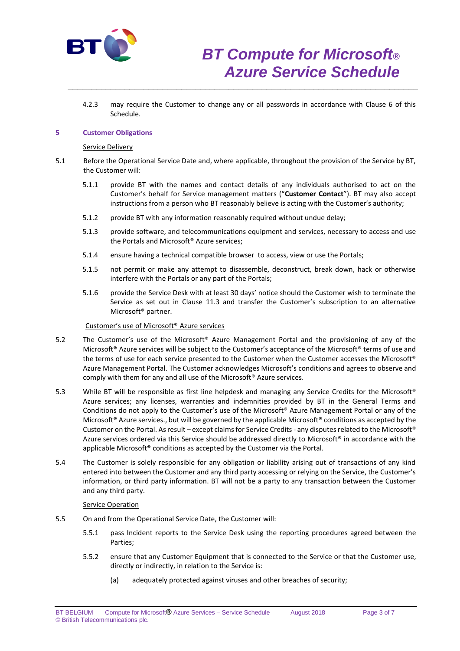

4.2.3 may require the Customer to change any or all passwords in accordance with Clause 6 of this Schedule.

\_\_\_\_\_\_\_\_\_\_\_\_\_\_\_\_\_\_\_\_\_\_\_\_\_\_\_\_\_\_\_\_\_\_\_\_\_\_\_\_\_\_\_\_\_\_\_\_\_\_\_\_\_\_\_\_\_\_\_\_\_\_\_\_\_\_\_\_\_\_\_\_\_\_

## **5 Customer Obligations**

#### Service Delivery

- 5.1 Before the Operational Service Date and, where applicable, throughout the provision of the Service by BT, the Customer will:
	- 5.1.1 provide BT with the names and contact details of any individuals authorised to act on the Customer's behalf for Service management matters ("**Customer Contact**"). BT may also accept instructions from a person who BT reasonably believe is acting with the Customer's authority;
	- 5.1.2 provide BT with any information reasonably required without undue delay;
	- 5.1.3 provide software, and telecommunications equipment and services, necessary to access and use the Portals and Microsoft® Azure services;
	- 5.1.4 ensure having a technical compatible browser to access, view or use the Portals;
	- 5.1.5 not permit or make any attempt to disassemble, deconstruct, break down, hack or otherwise interfere with the Portals or any part of the Portals;
	- 5.1.6 provide the Service Desk with at least 30 days' notice should the Customer wish to terminate the Service as set out in Clause 11.3 and transfer the Customer's subscription to an alternative Microsoft® partner.

## Customer's use of Microsoft® Azure services

- 5.2 The Customer's use of the Microsoft® Azure Management Portal and the provisioning of any of the Microsoft® Azure services will be subject to the Customer's acceptance of the Microsoft® terms of use and the terms of use for each service presented to the Customer when the Customer accesses the Microsoft® Azure Management Portal. The Customer acknowledges Microsoft's conditions and agrees to observe and comply with them for any and all use of the Microsoft® Azure services.
- 5.3 While BT will be responsible as first line helpdesk and managing any Service Credits for the Microsoft® Azure services; any licenses, warranties and indemnities provided by BT in the General Terms and Conditions do not apply to the Customer's use of the Microsoft® Azure Management Portal or any of the Microsoft<sup>®</sup> Azure services., but will be governed by the applicable Microsoft<sup>®</sup> conditions as accepted by the Customer on the Portal. As result – except claims for Service Credits - any disputes related to the Microsoft® Azure services ordered via this Service should be addressed directly to Microsoft® in accordance with the applicable Microsoft® conditions as accepted by the Customer via the Portal.
- 5.4 The Customer is solely responsible for any obligation or liability arising out of transactions of any kind entered into between the Customer and any third party accessing or relying on the Service, the Customer's information, or third party information. BT will not be a party to any transaction between the Customer and any third party.

#### Service Operation

- 5.5 On and from the Operational Service Date, the Customer will:
	- 5.5.1 pass Incident reports to the Service Desk using the reporting procedures agreed between the Parties;
	- 5.5.2 ensure that any Customer Equipment that is connected to the Service or that the Customer use, directly or indirectly, in relation to the Service is:
		- (a) adequately protected against viruses and other breaches of security;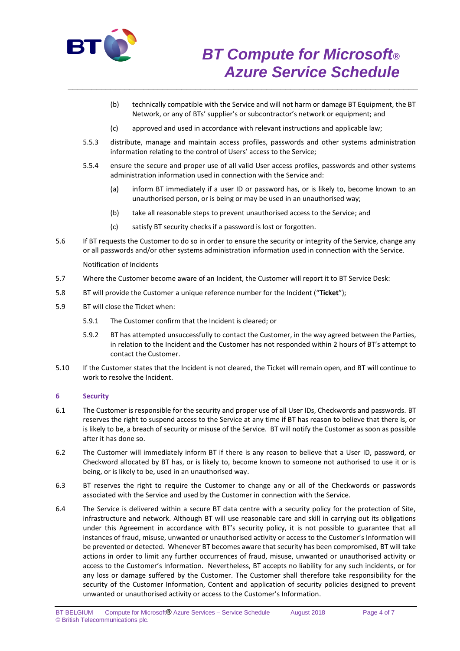

- (b) technically compatible with the Service and will not harm or damage BT Equipment, the BT Network, or any of BTs' supplier's or subcontractor's network or equipment; and
- (c) approved and used in accordance with relevant instructions and applicable law;

\_\_\_\_\_\_\_\_\_\_\_\_\_\_\_\_\_\_\_\_\_\_\_\_\_\_\_\_\_\_\_\_\_\_\_\_\_\_\_\_\_\_\_\_\_\_\_\_\_\_\_\_\_\_\_\_\_\_\_\_\_\_\_\_\_\_\_\_\_\_\_\_\_\_

- 5.5.3 distribute, manage and maintain access profiles, passwords and other systems administration information relating to the control of Users' access to the Service;
- 5.5.4 ensure the secure and proper use of all valid User access profiles, passwords and other systems administration information used in connection with the Service and:
	- (a) inform BT immediately if a user ID or password has, or is likely to, become known to an unauthorised person, or is being or may be used in an unauthorised way;
	- (b) take all reasonable steps to prevent unauthorised access to the Service; and
	- (c) satisfy BT security checks if a password is lost or forgotten.
- 5.6 If BT requests the Customer to do so in order to ensure the security or integrity of the Service, change any or all passwords and/or other systems administration information used in connection with the Service.

### Notification of Incidents

- 5.7 Where the Customer become aware of an Incident, the Customer will report it to BT Service Desk:
- 5.8 BT will provide the Customer a unique reference number for the Incident ("**Ticket**");
- 5.9 BT will close the Ticket when:
	- 5.9.1 The Customer confirm that the Incident is cleared; or
	- 5.9.2 BT has attempted unsuccessfully to contact the Customer, in the way agreed between the Parties, in relation to the Incident and the Customer has not responded within 2 hours of BT's attempt to contact the Customer.
- 5.10 If the Customer states that the Incident is not cleared, the Ticket will remain open, and BT will continue to work to resolve the Incident.

## **6 Security**

- 6.1 The Customer is responsible for the security and proper use of all User IDs, Checkwords and passwords. BT reserves the right to suspend access to the Service at any time if BT has reason to believe that there is, or is likely to be, a breach of security or misuse of the Service. BT will notify the Customer as soon as possible after it has done so.
- 6.2 The Customer will immediately inform BT if there is any reason to believe that a User ID, password, or Checkword allocated by BT has, or is likely to, become known to someone not authorised to use it or is being, or is likely to be, used in an unauthorised way.
- 6.3 BT reserves the right to require the Customer to change any or all of the Checkwords or passwords associated with the Service and used by the Customer in connection with the Service.
- 6.4 The Service is delivered within a secure BT data centre with a security policy for the protection of Site, infrastructure and network. Although BT will use reasonable care and skill in carrying out its obligations under this Agreement in accordance with BT's security policy, it is not possible to guarantee that all instances of fraud, misuse, unwanted or unauthorised activity or access to the Customer's Information will be prevented or detected. Whenever BT becomes aware that security has been compromised, BT will take actions in order to limit any further occurrences of fraud, misuse, unwanted or unauthorised activity or access to the Customer's Information. Nevertheless, BT accepts no liability for any such incidents, or for any loss or damage suffered by the Customer. The Customer shall therefore take responsibility for the security of the Customer Information, Content and application of security policies designed to prevent unwanted or unauthorised activity or access to the Customer's Information.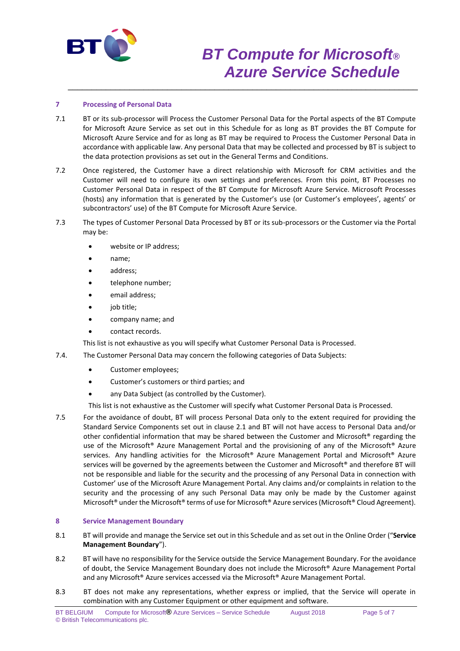

# *BT Compute for Microsoft® Azure Service Schedule*

## **7 Processing of Personal Data**

7.1 BT or its sub-processor will Process the Customer Personal Data for the Portal aspects of the BT Compute for Microsoft Azure Service as set out in this Schedule for as long as BT provides the BT Compute for Microsoft Azure Service and for as long as BT may be required to Process the Customer Personal Data in accordance with applicable law. Any personal Data that may be collected and processed by BT is subject to the data protection provisions as set out in the General Terms and Conditions.

\_\_\_\_\_\_\_\_\_\_\_\_\_\_\_\_\_\_\_\_\_\_\_\_\_\_\_\_\_\_\_\_\_\_\_\_\_\_\_\_\_\_\_\_\_\_\_\_\_\_\_\_\_\_\_\_\_\_\_\_\_\_\_\_\_\_\_\_\_\_\_\_\_\_

- 7.2 Once registered, the Customer have a direct relationship with Microsoft for CRM activities and the Customer will need to configure its own settings and preferences. From this point, BT Processes no Customer Personal Data in respect of the BT Compute for Microsoft Azure Service. Microsoft Processes (hosts) any information that is generated by the Customer's use (or Customer's employees', agents' or subcontractors' use) of the BT Compute for Microsoft Azure Service.
- 7.3 The types of Customer Personal Data Processed by BT or its sub-processors or the Customer via the Portal may be:
	- website or IP address;
	- name;
	- address;
	- telephone number;
	- email address;
	- job title;
	- company name; and
	- contact records.

This list is not exhaustive as you will specify what Customer Personal Data is Processed.

- 7.4. The Customer Personal Data may concern the following categories of Data Subjects:
	- Customer employees;
	- Customer's customers or third parties; and
	- any Data Subject (as controlled by the Customer).

This list is not exhaustive as the Customer will specify what Customer Personal Data is Processed.

7.5 For the avoidance of doubt, BT will process Personal Data only to the extent required for providing the Standard Service Components set out in clause 2.1 and BT will not have access to Personal Data and/or other confidential information that may be shared between the Customer and Microsoft® regarding the use of the Microsoft® Azure Management Portal and the provisioning of any of the Microsoft® Azure services. Any handling activities for the Microsoft® Azure Management Portal and Microsoft® Azure services will be governed by the agreements between the Customer and Microsoft® and therefore BT will not be responsible and liable for the security and the processing of any Personal Data in connection with Customer' use of the Microsoft Azure Management Portal. Any claims and/or complaints in relation to the security and the processing of any such Personal Data may only be made by the Customer against Microsoft® under the Microsoft® terms of use for Microsoft® Azure services (Microsoft® Cloud Agreement).

## **8 Service Management Boundary**

- 8.1 BT will provide and manage the Service set out in this Schedule and as set out in the Online Order ("**Service Management Boundary**").
- 8.2 BT will have no responsibility for the Service outside the Service Management Boundary. For the avoidance of doubt, the Service Management Boundary does not include the Microsoft® Azure Management Portal and any Microsoft® Azure services accessed via the Microsoft® Azure Management Portal.
- 8.3 BT does not make any representations, whether express or implied, that the Service will operate in combination with any Customer Equipment or other equipment and software.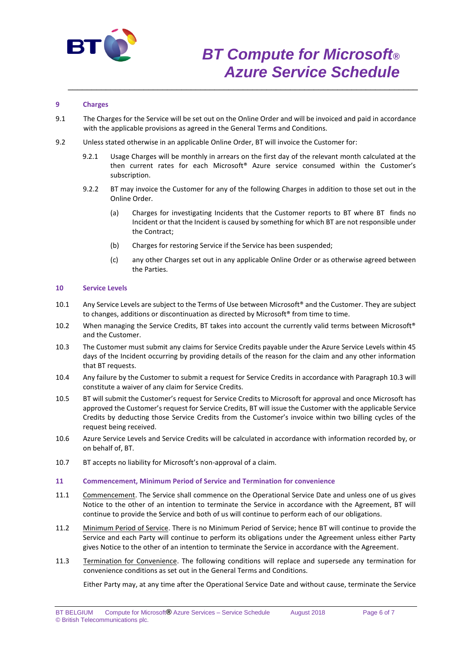

# *BT Compute for Microsoft® Azure Service Schedule*

# **9 Charges**

9.1 The Charges for the Service will be set out on the Online Order and will be invoiced and paid in accordance with the applicable provisions as agreed in the General Terms and Conditions.

\_\_\_\_\_\_\_\_\_\_\_\_\_\_\_\_\_\_\_\_\_\_\_\_\_\_\_\_\_\_\_\_\_\_\_\_\_\_\_\_\_\_\_\_\_\_\_\_\_\_\_\_\_\_\_\_\_\_\_\_\_\_\_\_\_\_\_\_\_\_\_\_\_\_

- 9.2 Unless stated otherwise in an applicable Online Order, BT will invoice the Customer for:
	- 9.2.1 Usage Charges will be monthly in arrears on the first day of the relevant month calculated at the then current rates for each Microsoft® Azure service consumed within the Customer's subscription.
	- 9.2.2 BT may invoice the Customer for any of the following Charges in addition to those set out in the Online Order.
		- (a) Charges for investigating Incidents that the Customer reports to BT where BT finds no Incident or that the Incident is caused by something for which BT are not responsible under the Contract;
		- (b) Charges for restoring Service if the Service has been suspended;
		- (c) any other Charges set out in any applicable Online Order or as otherwise agreed between the Parties.

### **10 Service Levels**

- 10.1 Any Service Levels are subject to the Terms of Use between Microsoft® and the Customer. They are subject to changes, additions or discontinuation as directed by Microsoft® from time to time.
- 10.2 When managing the Service Credits, BT takes into account the currently valid terms between Microsoft® and the Customer.
- 10.3 The Customer must submit any claims for Service Credits payable under the Azure Service Levels within 45 days of the Incident occurring by providing details of the reason for the claim and any other information that BT requests.
- 10.4 Any failure by the Customer to submit a request for Service Credits in accordance with Paragraph 10.3 will constitute a waiver of any claim for Service Credits.
- 10.5 BT will submit the Customer's request for Service Credits to Microsoft for approval and once Microsoft has approved the Customer's request for Service Credits, BT will issue the Customer with the applicable Service Credits by deducting those Service Credits from the Customer's invoice within two billing cycles of the request being received.
- 10.6 Azure Service Levels and Service Credits will be calculated in accordance with information recorded by, or on behalf of, BT.
- 10.7 BT accepts no liability for Microsoft's non-approval of a claim.

#### **11 Commencement, Minimum Period of Service and Termination for convenience**

- 11.1 Commencement. The Service shall commence on the Operational Service Date and unless one of us gives Notice to the other of an intention to terminate the Service in accordance with the Agreement, BT will continue to provide the Service and both of us will continue to perform each of our obligations.
- 11.2 Minimum Period of Service. There is no Minimum Period of Service; hence BT will continue to provide the Service and each Party will continue to perform its obligations under the Agreement unless either Party gives Notice to the other of an intention to terminate the Service in accordance with the Agreement.
- 11.3 Termination for Convenience. The following conditions will replace and supersede any termination for convenience conditions as set out in the General Terms and Conditions.

Either Party may, at any time after the Operational Service Date and without cause, terminate the Service